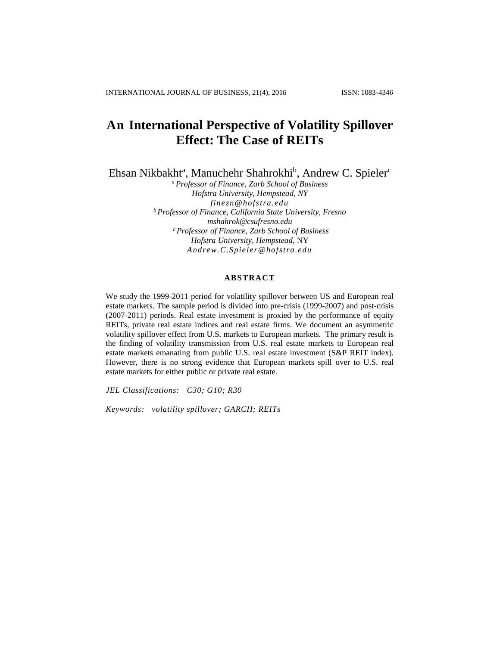# **An International Perspective of Volatility Spillover Effect: The Case of REITs**

Ehsan Nikbakht<sup>a</sup>, Manuchehr Shahrokhi<sup>b</sup>, Andrew C. Spieler<sup>c</sup>

*<sup>a</sup>Professor of Finance, Zarb School of Business Hofstra University, Hempstead, NY [finezn@hofstra.edu](mailto:finezn@hofstra.edu) <sup>b</sup>Professor of Finance, California State University, Fresno mshahrok@csufresno.edu <sup>c</sup>Professor of Finance, Zarb School of Business Hofstra University, Hempstead,* NY *Andrew.C.Spieler@hofstra.edu*

## **ABSTRACT**

We study the 1999-2011 period for volatility spillover between US and European real estate markets. The sample period is divided into pre-crisis (1999-2007) and post-crisis (2007-2011) periods. Real estate investment is proxied by the performance of equity REITs, private real estate indices and real estate firms. We document an asymmetric volatility spillover effect from U.S. markets to European markets. The primary result is the finding of volatility transmission from U.S. real estate markets to European real estate markets emanating from public U.S. real estate investment (S&P REIT index). However, there is no strong evidence that European markets spill over to U.S. real estate markets for either public or private real estate.

*JEL Classifications: C30; G10; R30*

*Keywords: volatility spillover; GARCH; REITs*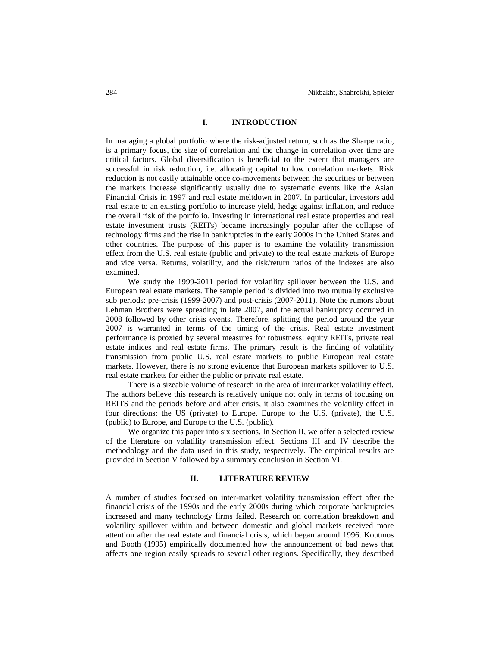## **I. INTRODUCTION**

In managing a global portfolio where the risk-adjusted return, such as the Sharpe ratio, is a primary focus, the size of correlation and the change in correlation over time are critical factors. Global diversification is beneficial to the extent that managers are successful in risk reduction, i.e. allocating capital to low correlation markets. Risk reduction is not easily attainable once co-movements between the securities or between the markets increase significantly usually due to systematic events like the Asian Financial Crisis in 1997 and real estate meltdown in 2007. In particular, investors add real estate to an existing portfolio to increase yield, hedge against inflation, and reduce the overall risk of the portfolio. Investing in international real estate properties and real estate investment trusts (REITs) became increasingly popular after the collapse of technology firms and the rise in bankruptcies in the early 2000s in the United States and other countries. The purpose of this paper is to examine the volatility transmission effect from the U.S. real estate (public and private) to the real estate markets of Europe and vice versa. Returns, volatility, and the risk/return ratios of the indexes are also examined.

We study the 1999-2011 period for volatility spillover between the U.S. and European real estate markets. The sample period is divided into two mutually exclusive sub periods: pre-crisis (1999-2007) and post-crisis (2007-2011). Note the rumors about Lehman Brothers were spreading in late 2007, and the actual bankruptcy occurred in 2008 followed by other crisis events. Therefore, splitting the period around the year 2007 is warranted in terms of the timing of the crisis. Real estate investment performance is proxied by several measures for robustness: equity REITs, private real estate indices and real estate firms. The primary result is the finding of volatility transmission from public U.S. real estate markets to public European real estate markets. However, there is no strong evidence that European markets spillover to U.S. real estate markets for either the public or private real estate.

There is a sizeable volume of research in the area of intermarket volatility effect. The authors believe this research is relatively unique not only in terms of focusing on REITS and the periods before and after crisis, it also examines the volatility effect in four directions: the US (private) to Europe, Europe to the U.S. (private), the U.S. (public) to Europe, and Europe to the U.S. (public).

We organize this paper into six sections. In Section II, we offer a selected review of the literature on volatility transmission effect. Sections III and IV describe the methodology and the data used in this study, respectively. The empirical results are provided in Section V followed by a summary conclusion in Section VI.

#### **II. LITERATURE REVIEW**

A number of studies focused on inter-market volatility transmission effect after the financial crisis of the 1990s and the early 2000s during which corporate bankruptcies increased and many technology firms failed. Research on correlation breakdown and volatility spillover within and between domestic and global markets received more attention after the real estate and financial crisis, which began around 1996. Koutmos and Booth (1995) empirically documented how the announcement of bad news that affects one region easily spreads to several other regions. Specifically, they described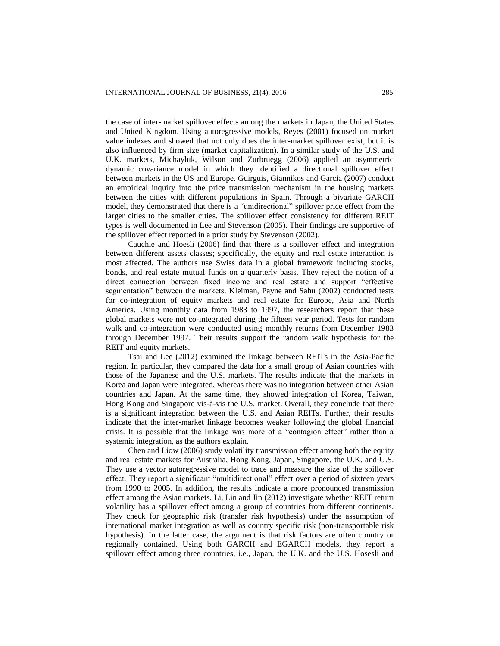the case of inter-market spillover effects among the markets in Japan, the United States and United Kingdom. Using autoregressive models, Reyes (2001) focused on market value indexes and showed that not only does the inter-market spillover exist, but it is also influenced by firm size (market capitalization). In a similar study of the U.S. and U.K. markets, Michayluk, Wilson and Zurbruegg (2006) applied an asymmetric dynamic covariance model in which they identified a directional spillover effect between markets in the US and Europe. Guirguis, Giannikos and Garcia (2007) conduct an empirical inquiry into the price transmission mechanism in the housing markets between the cities with different populations in Spain. Through a bivariate GARCH model, they demonstrated that there is a "unidirectional" spillover price effect from the larger cities to the smaller cities. The spillover effect consistency for different REIT types is well documented in Lee and Stevenson (2005). Their findings are supportive of the spillover effect reported in a prior study by Stevenson (2002).

Cauchie and Hoesli (2006) find that there is a spillover effect and integration between different assets classes; specifically, the equity and real estate interaction is most affected. The authors use Swiss data in a global framework including stocks, bonds, and real estate mutual funds on a quarterly basis. They reject the notion of a direct connection between fixed income and real estate and support "effective segmentation" between the markets. Kleiman, Payne and Sahu (2002) conducted tests for co-integration of equity markets and real estate for Europe, Asia and North America. Using monthly data from 1983 to 1997, the researchers report that these global markets were not co-integrated during the fifteen year period. Tests for random walk and co-integration were conducted using monthly returns from December 1983 through December 1997. Their results support the random walk hypothesis for the REIT and equity markets.

Tsai and Lee (2012) examined the linkage between REITs in the Asia-Pacific region. In particular, they compared the data for a small group of Asian countries with those of the Japanese and the U.S. markets. The results indicate that the markets in Korea and Japan were integrated, whereas there was no integration between other Asian countries and Japan. At the same time, they showed integration of Korea, Taiwan, Hong Kong and Singapore vis-à-vis the U.S. market. Overall, they conclude that there is a significant integration between the U.S. and Asian REITs. Further, their results indicate that the inter-market linkage becomes weaker following the global financial crisis. It is possible that the linkage was more of a "contagion effect" rather than a systemic integration, as the authors explain.

Chen and Liow (2006) study volatility transmission effect among both the equity and real estate markets for Australia, Hong Kong, Japan, Singapore, the U.K. and U.S. They use a vector autoregressive model to trace and measure the size of the spillover effect. They report a significant "multidirectional" effect over a period of sixteen years from 1990 to 2005. In addition, the results indicate a more pronounced transmission effect among the Asian markets. Li, Lin and Jin (2012) investigate whether REIT return volatility has a spillover effect among a group of countries from different continents. They check for geographic risk (transfer risk hypothesis) under the assumption of international market integration as well as country specific risk (non-transportable risk hypothesis). In the latter case, the argument is that risk factors are often country or regionally contained. Using both GARCH and EGARCH models, they report a spillover effect among three countries, i.e., Japan, the U.K. and the U.S. Hosesli and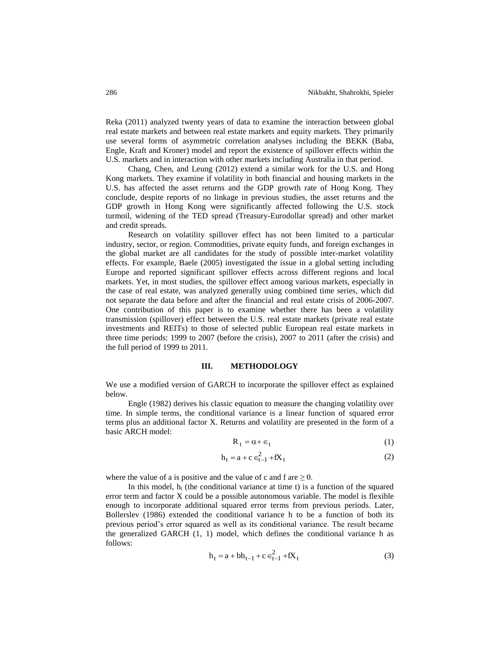Reka (2011) analyzed twenty years of data to examine the interaction between global real estate markets and between real estate markets and equity markets. They primarily use several forms of asymmetric correlation analyses including the BEKK (Baba, Engle, Kraft and Kroner) model and report the existence of spillover effects within the U.S. markets and in interaction with other markets including Australia in that period.

Chang, Chen, and Leung (2012) extend a similar work for the U.S. and Hong Kong markets. They examine if volatility in both financial and housing markets in the U.S. has affected the asset returns and the GDP growth rate of Hong Kong. They conclude, despite reports of no linkage in previous studies, the asset returns and the GDP growth in Hong Kong were significantly affected following the U.S. stock turmoil, widening of the TED spread (Treasury-Eurodollar spread) and other market and credit spreads.

Research on volatility spillover effect has not been limited to a particular industry, sector, or region. Commodities, private equity funds, and foreign exchanges in the global market are all candidates for the study of possible inter-market volatility effects. For example, Baele (2005) investigated the issue in a global setting including Europe and reported significant spillover effects across different regions and local markets. Yet, in most studies, the spillover effect among various markets, especially in the case of real estate, was analyzed generally using combined time series, which did not separate the data before and after the financial and real estate crisis of 2006-2007. One contribution of this paper is to examine whether there has been a volatility transmission (spillover) effect between the U.S. real estate markets (private real estate investments and REITs) to those of selected public European real estate markets in three time periods: 1999 to 2007 (before the crisis), 2007 to 2011 (after the crisis) and the full period of 1999 to 2011.

#### **III. METHODOLOGY**

We use a modified version of GARCH to incorporate the spillover effect as explained below.

Engle (1982) derives his classic equation to measure the changing volatility over time. In simple terms, the conditional variance is a linear function of squared error terms plus an additional factor X. Returns and volatility are presented in the form of a basic ARCH model:

$$
R_t = \alpha + \epsilon_t \tag{1}
$$

$$
h_t = a + c \epsilon_{t-1}^2 + fX_t
$$
 (2)

where the value of a is positive and the value of c and f are  $\geq 0$ .

In this model,  $h_i$  (the conditional variance at time t) is a function of the squared error term and factor X could be a possible autonomous variable. The model is flexible enough to incorporate additional squared error terms from previous periods. Later, Bollerslev (1986) extended the conditional variance h to be a function of both its previous period's error squared as well as its conditional variance. The result became the generalized GARCH  $(1, 1)$  model, which defines the conditional variance h as follows:

$$
h_t = a + bh_{t-1} + c \in_{t-1}^{2} + fX_t
$$
\n(3)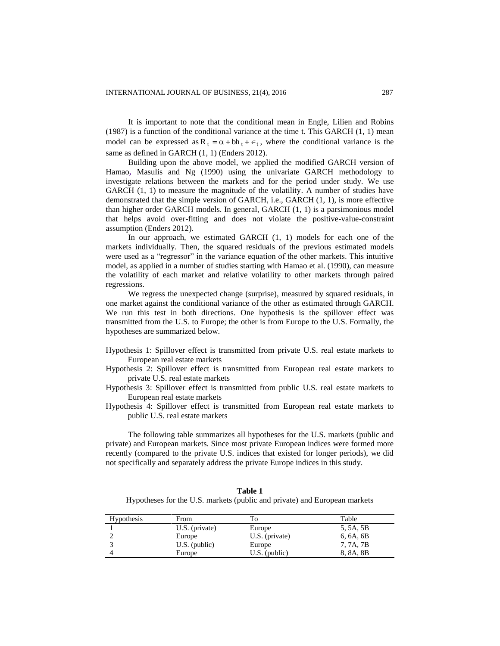It is important to note that the conditional mean in Engle, Lilien and Robins (1987) is a function of the conditional variance at the time t. This GARCH  $(1, 1)$  mean model can be expressed as  $R_t = \alpha + bh_t + \epsilon_t$ , where the conditional variance is the same as defined in GARCH (1, 1) (Enders 2012).

Building upon the above model, we applied the modified GARCH version of Hamao**,** Masulis and Ng (1990) using the univariate GARCH methodology to investigate relations between the markets and for the period under study. We use GARCH (1, 1) to measure the magnitude of the volatility. A number of studies have demonstrated that the simple version of GARCH, i.e., GARCH (1, 1), is more effective than higher order GARCH models. In general, GARCH (1, 1) is a parsimonious model that helps avoid over-fitting and does not violate the positive-value-constraint assumption (Enders 2012).

In our approach, we estimated GARCH (1, 1) models for each one of the markets individually. Then, the squared residuals of the previous estimated models were used as a "regressor" in the variance equation of the other markets. This intuitive model, as applied in a number of studies starting with Hamao et al. (1990), can measure the volatility of each market and relative volatility to other markets through paired regressions.

We regress the unexpected change (surprise), measured by squared residuals, in one market against the conditional variance of the other as estimated through GARCH. We run this test in both directions. One hypothesis is the spillover effect was transmitted from the U.S. to Europe; the other is from Europe to the U.S. Formally, the hypotheses are summarized below.

- Hypothesis 1: Spillover effect is transmitted from private U.S. real estate markets to European real estate markets
- Hypothesis 2: Spillover effect is transmitted from European real estate markets to private U.S. real estate markets
- Hypothesis 3: Spillover effect is transmitted from public U.S. real estate markets to European real estate markets
- Hypothesis 4: Spillover effect is transmitted from European real estate markets to public U.S. real estate markets

The following table summarizes all hypotheses for the U.S. markets (public and private) and European markets. Since most private European indices were formed more recently (compared to the private U.S. indices that existed for longer periods), we did not specifically and separately address the private Europe indices in this study.

| Table 1                                                                   |
|---------------------------------------------------------------------------|
| Hypotheses for the U.S. markets (public and private) and European markets |

| <b>Hypothesis</b> | From             | Тo              | Table     |
|-------------------|------------------|-----------------|-----------|
|                   | $U.S.$ (private) | Europe          | 5, 5A, 5B |
|                   | Europe           | U.S. (private)  | 6, 6A, 6B |
|                   | $U.S.$ (public)  | Europe          | 7, 7A, 7B |
|                   | Europe           | $U.S.$ (public) | 8, 8A, 8B |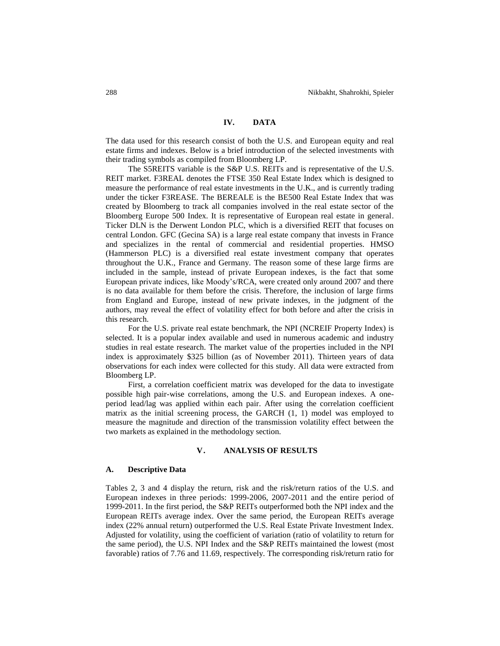## **IV. DATA**

The data used for this research consist of both the U.S. and European equity and real estate firms and indexes. Below is a brief introduction of the selected investments with their trading symbols as compiled from Bloomberg LP.

The S5REITS variable is the S&P U.S. REITs and is representative of the U.S. REIT market. F3REAL denotes the FTSE 350 Real Estate Index which is designed to measure the performance of real estate investments in the U.K., and is currently trading under the ticker F3REASE. The BEREALE is the BE500 Real Estate Index that was created by Bloomberg to track all companies involved in the real estate sector of the Bloomberg Europe 500 Index. It is representative of European real estate in general. Ticker DLN is the Derwent London PLC, which is a diversified REIT that focuses on central London. GFC (Gecina SA) is a large real estate company that invests in France and specializes in the rental of commercial and residential properties. HMSO (Hammerson PLC) is a diversified real estate investment company that operates throughout the U.K., France and Germany. The reason some of these large firms are included in the sample, instead of private European indexes, is the fact that some European private indices, like Moody's/RCA, were created only around 2007 and there is no data available for them before the crisis. Therefore, the inclusion of large firms from England and Europe, instead of new private indexes, in the judgment of the authors, may reveal the effect of volatility effect for both before and after the crisis in this research.

For the U.S. private real estate benchmark, the NPI (NCREIF Property Index) is selected. It is a popular index available and used in numerous academic and industry studies in real estate research. The market value of the properties included in the NPI index is approximately \$325 billion (as of November 2011). Thirteen years of data observations for each index were collected for this study. All data were extracted from Bloomberg LP.

First, a correlation coefficient matrix was developed for the data to investigate possible high pair-wise correlations, among the U.S. and European indexes. A oneperiod lead/lag was applied within each pair. After using the correlation coefficient matrix as the initial screening process, the GARCH (1, 1) model was employed to measure the magnitude and direction of the transmission volatility effect between the two markets as explained in the methodology section.

#### **V. ANALYSIS OF RESULTS**

#### **A. Descriptive Data**

Tables 2, 3 and 4 display the return, risk and the risk/return ratios of the U.S. and European indexes in three periods: 1999-2006, 2007-2011 and the entire period of 1999-2011. In the first period, the S&P REITs outperformed both the NPI index and the European REITs average index. Over the same period, the European REITs average index (22% annual return) outperformed the U.S. Real Estate Private Investment Index. Adjusted for volatility, using the coefficient of variation (ratio of volatility to return for the same period), the U.S. NPI Index and the S&P REITs maintained the lowest (most favorable) ratios of 7.76 and 11.69, respectively. The corresponding risk/return ratio for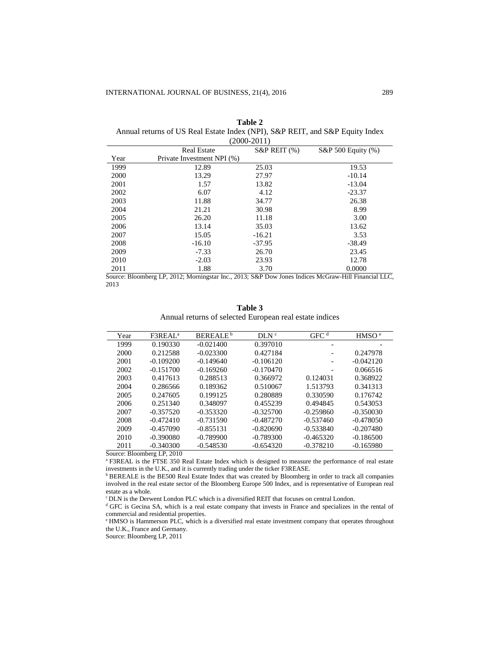| $(2000 - 2011)$ |                            |                    |                    |  |
|-----------------|----------------------------|--------------------|--------------------|--|
|                 | <b>Real Estate</b>         | $S\&P$ REIT $(\%)$ | S&P 500 Equity (%) |  |
| Year            | Private Investment NPI (%) |                    |                    |  |
| 1999            | 12.89                      | 25.03              | 19.53              |  |
| 2000            | 13.29                      | 27.97              | $-10.14$           |  |
| 2001            | 1.57                       | 13.82              | $-13.04$           |  |
| 2002            | 6.07                       | 4.12               | $-23.37$           |  |
| 2003            | 11.88                      | 34.77              | 26.38              |  |
| 2004            | 21.21                      | 30.98              | 8.99               |  |
| 2005            | 26.20                      | 11.18              | 3.00               |  |
| 2006            | 13.14                      | 35.03              | 13.62              |  |
| 2007            | 15.05                      | $-16.21$           | 3.53               |  |
| 2008            | $-16.10$                   | $-37.95$           | $-38.49$           |  |
| 2009            | $-7.33$                    | 26.70              | 23.45              |  |
| 2010            | $-2.03$                    | 23.93              | 12.78              |  |
| 2011            | 1.88                       | 3.70               | 0.0000             |  |

| Table 2                                                                      |  |
|------------------------------------------------------------------------------|--|
| Annual returns of US Real Estate Index (NPI), S&P REIT, and S&P Equity Index |  |
|                                                                              |  |

Source: Bloomberg LP, 2012; Morningstar Inc., 2013; S&P Dow Jones Indices McGraw-Hill Financial LLC, 2013

| ını<br>я |  |
|----------|--|
|----------|--|

Annual returns of selected European real estate indices

| Year | F3REAL <sup>a</sup> | BEREALE <sup>b</sup> | DLN <sup>c</sup> | GFC <sup>d</sup> | HMSO <sup>e</sup> |  |
|------|---------------------|----------------------|------------------|------------------|-------------------|--|
| 1999 | 0.190330            | $-0.021400$          | 0.397010         |                  |                   |  |
| 2000 | 0.212588            | $-0.023300$          | 0.427184         |                  | 0.247978          |  |
| 2001 | $-0.109200$         | $-0.149640$          | $-0.106120$      |                  | $-0.042120$       |  |
| 2002 | $-0.151700$         | $-0.169260$          | $-0.170470$      |                  | 0.066516          |  |
| 2003 | 0.417613            | 0.288513             | 0.366972         | 0.124031         | 0.368922          |  |
| 2004 | 0.286566            | 0.189362             | 0.510067         | 1.513793         | 0.341313          |  |
| 2005 | 0.247605            | 0.199125             | 0.280889         | 0.330590         | 0.176742          |  |
| 2006 | 0.251340            | 0.348097             | 0.455239         | 0.494845         | 0.543053          |  |
| 2007 | $-0.357520$         | $-0.353320$          | $-0.325700$      | $-0.259860$      | $-0.350030$       |  |
| 2008 | $-0.472410$         | $-0.731590$          | $-0.487270$      | $-0.537460$      | $-0.478050$       |  |
| 2009 | $-0.457090$         | $-0.855131$          | $-0.820690$      | $-0.533840$      | $-0.207480$       |  |
| 2010 | $-0.390080$         | $-0.789900$          | $-0.789300$      | $-0.465320$      | $-0.186500$       |  |
| 2011 | $-0.340300$         | $-0.548530$          | $-0.654320$      | $-0.378210$      | $-0.165980$       |  |
|      | $0 - 0.010$         |                      |                  |                  |                   |  |

Source: Bloomberg LP, 2010

<sup>a</sup> F3REAL is the FTSE 350 Real Estate Index which is designed to measure the performance of real estate investments in the U.K., and it is currently trading under the ticker F3REASE.

**b BEREALE** is the BE500 Real Estate Index that was created by Bloomberg in order to track all companies involved in the real estate sector of the Bloomberg Europe 500 Index, and is representative of European real estate as a whole.

<sup>c</sup> DLN is the Derwent London PLC which is a diversified REIT that focuses on central London.

<sup>d</sup> GFC is Gecina SA, which is a real estate company that invests in France and specializes in the rental of commercial and residential properties.

<sup>e</sup>HMSO is Hammerson PLC, which is a diversified real estate investment company that operates throughout the U.K., France and Germany.

Source: Bloomberg LP, 2011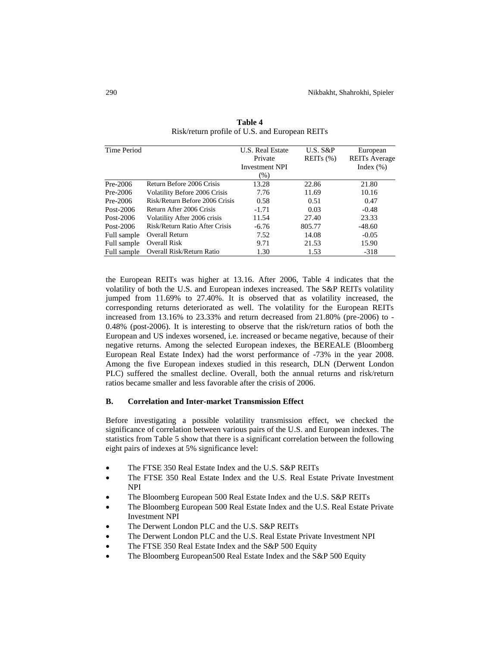| Time Period |                                | U.S. Real Estate      | $U.S. S\&P$   | European             |
|-------------|--------------------------------|-----------------------|---------------|----------------------|
|             |                                | Private               | REITs $(\% )$ | <b>REITs Average</b> |
|             |                                | <b>Investment NPI</b> |               | Index $(\%)$         |
|             |                                | $(\%)$                |               |                      |
| $Pre-2006$  | Return Before 2006 Crisis      | 13.28                 | 22.86         | 21.80                |
| $Pre-2006$  | Volatility Before 2006 Crisis  | 7.76                  | 11.69         | 10.16                |
| $Pre-2006$  | Risk/Return Before 2006 Crisis | 0.58                  | 0.51          | 0.47                 |
| Post-2006   | Return After 2006 Crisis       | $-1.71$               | 0.03          | $-0.48$              |
| Post-2006   | Volatility After 2006 crisis   | 11.54                 | 27.40         | 23.33                |
| Post-2006   | Risk/Return Ratio After Crisis | $-6.76$               | 805.77        | $-48.60$             |
| Full sample | Overall Return                 | 7.52                  | 14.08         | $-0.05$              |
| Full sample | <b>Overall Risk</b>            | 9.71                  | 21.53         | 15.90                |
| Full sample | Overall Risk/Return Ratio      | 1.30                  | 1.53          | $-318$               |

**Table 4** Risk/return profile of U.S. and European REITs

the European REITs was higher at 13.16. After 2006, Table 4 indicates that the volatility of both the U.S. and European indexes increased. The S&P REITs volatility jumped from 11.69% to 27.40%. It is observed that as volatility increased, the corresponding returns deteriorated as well. The volatility for the European REITs increased from 13.16% to 23.33% and return decreased from 21.80% (pre-2006) to - 0.48% (post-2006). It is interesting to observe that the risk/return ratios of both the European and US indexes worsened, i.e. increased or became negative, because of their negative returns. Among the selected European indexes, the BEREALE (Bloomberg European Real Estate Index) had the worst performance of -73% in the year 2008. Among the five European indexes studied in this research, DLN (Derwent London PLC) suffered the smallest decline. Overall, both the annual returns and risk/return ratios became smaller and less favorable after the crisis of 2006.

## **B. Correlation and Inter-market Transmission Effect**

Before investigating a possible volatility transmission effect, we checked the significance of correlation between various pairs of the U.S. and European indexes. The statistics from Table 5 show that there is a significant correlation between the following eight pairs of indexes at 5% significance level:

- The FTSE 350 Real Estate Index and the U.S. S&P REITs
- The FTSE 350 Real Estate Index and the U.S. Real Estate Private Investment NPI
- The Bloomberg European 500 Real Estate Index and the U.S. S&P REITs
- The Bloomberg European 500 Real Estate Index and the U.S. Real Estate Private Investment NPI
- The Derwent London PLC and the U.S. S&P REITs
- The Derwent London PLC and the U.S. Real Estate Private Investment NPI
- The FTSE 350 Real Estate Index and the S&P 500 Equity
- The Bloomberg European500 Real Estate Index and the S&P 500 Equity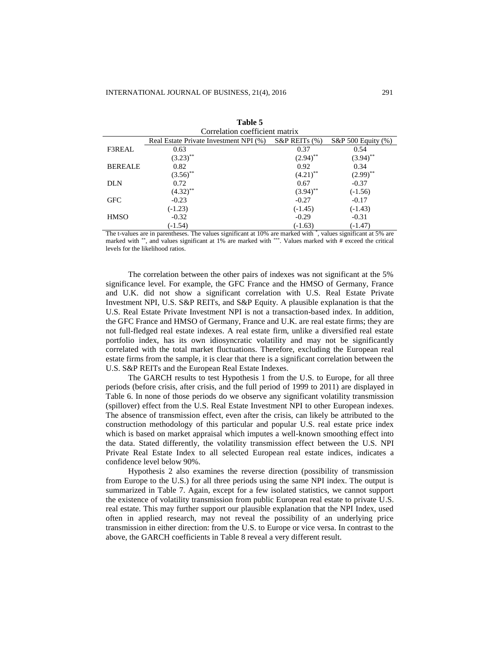| таріе э                        |                                        |                     |                          |  |  |
|--------------------------------|----------------------------------------|---------------------|--------------------------|--|--|
| Correlation coefficient matrix |                                        |                     |                          |  |  |
|                                | Real Estate Private Investment NPI (%) | $S\&P$ REITs $(\%)$ | $S\&P 500$ Equity $(\%)$ |  |  |
| F3REAL                         | 0.63                                   | 0.37                | 0.54                     |  |  |
|                                | $(3.23)$ **                            | $(2.94)$ **         | $(3.94)$ **              |  |  |
| <b>BEREALE</b>                 | 0.82                                   | 0.92                | 0.34                     |  |  |
|                                | $(3.56)$ **                            | $(4.21)$ **         | $(2.99)$ **              |  |  |
| <b>DLN</b>                     | 0.72                                   | 0.67                | $-0.37$                  |  |  |
|                                | $(4.32)$ **                            | $(3.94)$ **         | $(-1.56)$                |  |  |
| <b>GFC</b>                     | $-0.23$                                | $-0.27$             | $-0.17$                  |  |  |
|                                | $(-1.23)$                              | $(-1.45)$           | $(-1.43)$                |  |  |
| <b>HMSO</b>                    | $-0.32$                                | $-0.29$             | $-0.31$                  |  |  |
|                                | $(-1.54)$                              | $(-1.63)$           | $(-1.47)$                |  |  |

**Table 5**

The t-values are in parentheses. The values significant at 10% are marked with \* , values significant at 5% are marked with \*\*, and values significant at 1% are marked with \*\*\*. Values marked with # exceed the critical levels for the likelihood ratios.

The correlation between the other pairs of indexes was not significant at the 5% significance level. For example, the GFC France and the HMSO of Germany, France and U.K. did not show a significant correlation with U.S. Real Estate Private Investment NPI, U.S. S&P REITs, and S&P Equity. A plausible explanation is that the U.S. Real Estate Private Investment NPI is not a transaction-based index. In addition, the GFC France and HMSO of Germany, France and U.K. are real estate firms; they are not full-fledged real estate indexes. A real estate firm, unlike a diversified real estate portfolio index, has its own idiosyncratic volatility and may not be significantly correlated with the total market fluctuations. Therefore, excluding the European real estate firms from the sample, it is clear that there is a significant correlation between the U.S. S&P REITs and the European Real Estate Indexes.

The GARCH results to test Hypothesis 1 from the U.S. to Europe, for all three periods (before crisis, after crisis, and the full period of 1999 to 2011) are displayed in Table 6. In none of those periods do we observe any significant volatility transmission (spillover) effect from the U.S. Real Estate Investment NPI to other European indexes. The absence of transmission effect, even after the crisis, can likely be attributed to the construction methodology of this particular and popular U.S. real estate price index which is based on market appraisal which imputes a well-known smoothing effect into the data. Stated differently, the volatility transmission effect between the U.S. NPI Private Real Estate Index to all selected European real estate indices, indicates a confidence level below 90%.

Hypothesis 2 also examines the reverse direction (possibility of transmission from Europe to the U.S.) for all three periods using the same NPI index. The output is summarized in Table 7. Again, except for a few isolated statistics, we cannot support the existence of volatility transmission from public European real estate to private U.S. real estate. This may further support our plausible explanation that the NPI Index, used often in applied research, may not reveal the possibility of an underlying price transmission in either direction: from the U.S. to Europe or vice versa. In contrast to the above, the GARCH coefficients in Table 8 reveal a very different result.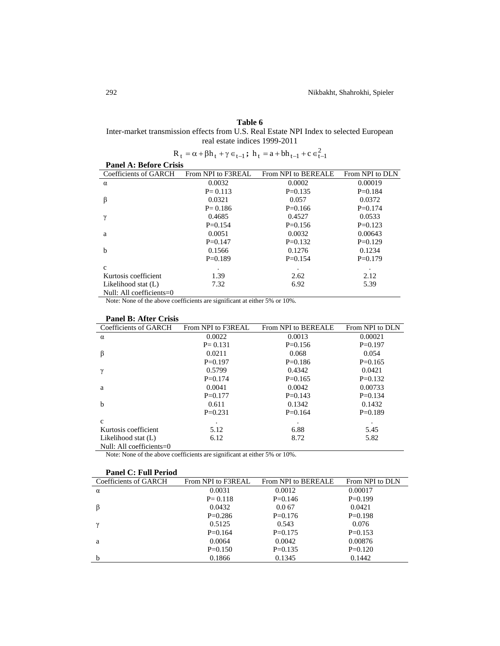## **Table 6**

Inter-market transmission effects from U.S. Real Estate NPI Index to selected European real estate indices 1999-2011

| $R_t = \alpha + \beta h_t + \gamma \in_{t-1}$ ; $h_t = a + bh_{t-1} + c \in_{t-1}^2$ |                    |                     |                 |  |
|--------------------------------------------------------------------------------------|--------------------|---------------------|-----------------|--|
| <b>Panel A: Before Crisis</b>                                                        |                    |                     |                 |  |
| Coefficients of GARCH                                                                | From NPI to F3REAL | From NPI to BEREALE | From NPI to DLN |  |
| $\alpha$                                                                             | 0.0032             | 0.0002              | 0.00019         |  |
|                                                                                      | $P = 0.113$        | $P=0.135$           | $P=0.184$       |  |
| β                                                                                    | 0.0321             | 0.057               | 0.0372          |  |
|                                                                                      | $P = 0.186$        | $P=0.166$           | $P=0.174$       |  |
| γ                                                                                    | 0.4685             | 0.4527              | 0.0533          |  |
|                                                                                      | $P=0.154$          | $P=0.156$           | $P=0.123$       |  |
| a                                                                                    | 0.0051             | 0.0032              | 0.00643         |  |
|                                                                                      | $P=0.147$          | $P=0.132$           | $P=0.129$       |  |
| $\mathbf b$                                                                          | 0.1566             | 0.1276              | 0.1234          |  |
|                                                                                      | $P=0.189$          | $P = 0.154$         | $P=0.179$       |  |
| $\mathbf{c}$                                                                         | $\bullet$          | ٠                   | $\bullet$       |  |
| Kurtosis coefficient                                                                 | 1.39               | 2.62                | 2.12            |  |
| Likelihood stat (L)                                                                  | 7.32               | 6.92                | 5.39            |  |
| Null: All coefficients=0                                                             |                    |                     |                 |  |

Note: None of the above coefficients are significant at either 5% or 10%.

## **Panel B: After Crisis**

| Coefficients of GARCH       | From NPI to F3REAL | From NPI to BEREALE | From NPI to DLN |
|-----------------------------|--------------------|---------------------|-----------------|
| $\alpha$                    | 0.0022             | 0.0013              | 0.00021         |
|                             | $P = 0.131$        | $P=0.156$           | $P=0.197$       |
| β                           | 0.0211             | 0.068               | 0.054           |
|                             | $P=0.197$          | $P=0.186$           | $P=0.165$       |
|                             | 0.5799             | 0.4342              | 0.0421          |
|                             | $P = 0.174$        | $P=0.165$           | $P=0.132$       |
| a                           | 0.0041             | 0.0042              | 0.00733         |
|                             | $P=0.177$          | $P=0.143$           | $P=0.134$       |
| b                           | 0.611              | 0.1342              | 0.1432          |
|                             | $P=0.231$          | $P=0.164$           | $P=0.189$       |
| $\mathbf{c}$                |                    |                     |                 |
| Kurtosis coefficient        | 5.12               | 6.88                | 5.45            |
| Likelihood stat (L)         | 6.12               | 8.72                | 5.82            |
| Null: All coefficients= $0$ |                    |                     |                 |

Note: None of the above coefficients are significant at either 5% or 10%.

| <b>Panel C: Full Period</b> |                    |                     |                 |
|-----------------------------|--------------------|---------------------|-----------------|
| Coefficients of GARCH       | From NPI to F3REAL | From NPI to BEREALE | From NPI to DLN |
| $\alpha$                    | 0.0031             | 0.0012              | 0.00017         |
|                             | $P = 0.118$        | $P=0.146$           | $P=0.199$       |
|                             | 0.0432             | 0.067               | 0.0421          |
|                             | $P=0.286$          | $P=0.176$           | $P=0.198$       |
|                             | 0.5125             | 0.543               | 0.076           |
|                             | $P=0.164$          | $P=0.175$           | $P=0.153$       |
| a                           | 0.0064             | 0.0042              | 0.00876         |
|                             | $P=0.150$          | $P=0.135$           | $P=0.120$       |
| b                           | 0.1866             | 0.1345              | 0.1442          |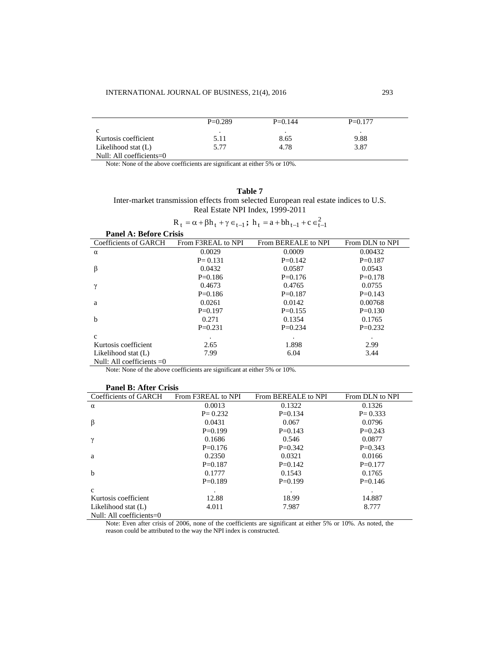|                             | $P=0.289$ | $P=0.144$ | $P=0.177$ |  |
|-----------------------------|-----------|-----------|-----------|--|
| c                           | $\bullet$ | ٠         |           |  |
| Kurtosis coefficient        | 5.11      | 8.65      | 9.88      |  |
| Likelihood stat (L)         | 5.77      | 4.78      | 3.87      |  |
| Null: All coefficients= $0$ |           |           |           |  |

Note: None of the above coefficients are significant at either 5% or 10%.

| וחו<br>ı<br>а |  |
|---------------|--|
|---------------|--|

Inter-market transmission effects from selected European real estate indices to U.S. Real Estate NPI Index, 1999-2011

| $R_t = \alpha + \beta h_t + \gamma \in_{t-1}$ ; $h_t = a + bh_{t-1} + c \in_{t-1}^2$ |                    |                     |                 |
|--------------------------------------------------------------------------------------|--------------------|---------------------|-----------------|
| <b>Panel A: Before Crisis</b>                                                        |                    |                     |                 |
| Coefficients of GARCH                                                                | From F3REAL to NPI | From BEREALE to NPI | From DLN to NPI |
| $\alpha$                                                                             | 0.0029             | 0.0009              | 0.00432         |
|                                                                                      | $P = 0.131$        | $P=0.142$           | $P=0.187$       |
| β                                                                                    | 0.0432             | 0.0587              | 0.0543          |
|                                                                                      | $P=0.186$          | $P=0.176$           | $P=0.178$       |
| $\mathbf v$                                                                          | 0.4673             | 0.4765              | 0.0755          |
|                                                                                      | $P=0.186$          | $P=0.187$           | $P=0.143$       |
| a                                                                                    | 0.0261             | 0.0142              | 0.00768         |
|                                                                                      | $P=0.197$          | $P=0.155$           | $P=0.130$       |
| $\mathbf b$                                                                          | 0.271              | 0.1354              | 0.1765          |
|                                                                                      | $P=0.231$          | $P=0.234$           | $P=0.232$       |
| $\mathbf{c}$                                                                         | $\bullet$          |                     |                 |
| Kurtosis coefficient                                                                 | 2.65               | 1.898               | 2.99            |
| Likelihood stat (L)                                                                  | 7.99               | 6.04                | 3.44            |
| Null: All coefficients $=0$                                                          |                    |                     |                 |

Note: None of the above coefficients are significant at either 5% or 10%.

| <b>Panel B: After Crisis</b> |                    |                     |                 |  |
|------------------------------|--------------------|---------------------|-----------------|--|
| Coefficients of GARCH        | From F3REAL to NPI | From BEREALE to NPI | From DLN to NPI |  |
| $\alpha$                     | 0.0013             | 0.1322              | 0.1326          |  |
|                              | $P = 0.232$        | $P=0.134$           | $P = 0.333$     |  |
| β                            | 0.0431             | 0.067               | 0.0796          |  |
|                              | $P=0.199$          | $P=0.143$           | $P=0.243$       |  |
| ν                            | 0.1686             | 0.546               | 0.0877          |  |
|                              | $P=0.176$          | $P=0.342$           | $P=0.343$       |  |
| a                            | 0.2350             | 0.0321              | 0.0166          |  |
|                              | $P=0.187$          | $P=0.142$           | $P=0.177$       |  |
| b                            | 0.1777             | 0.1543              | 0.1765          |  |
|                              | $P=0.189$          | $P=0.199$           | $P=0.146$       |  |
| $\mathbf{C}$                 |                    |                     |                 |  |
| Kurtosis coefficient         | 12.88              | 18.99               | 14.887          |  |
| Likelihood stat (L)          | 4.011              | 7.987               | 8.777           |  |
| Null: All coefficients= $0$  |                    |                     |                 |  |

Note: Even after crisis of 2006, none of the coefficients are significant at either 5% or 10%. As noted, the reason could be attributed to the way the NPI index is constructed.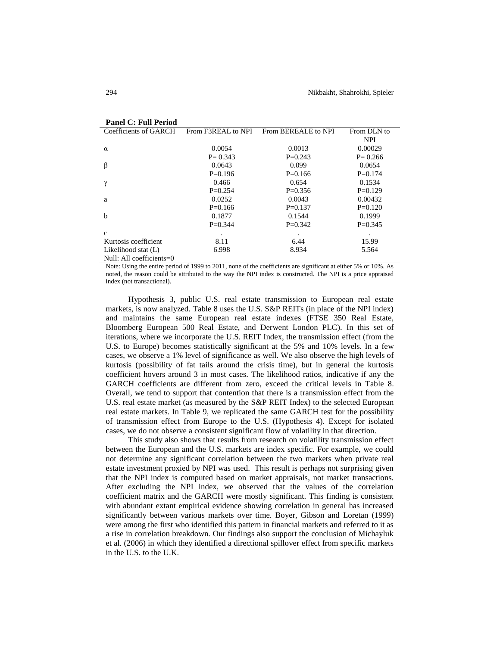| Coefficients of GARCH    | From F3REAL to NPI | From BEREALE to NPI | From DLN to |
|--------------------------|--------------------|---------------------|-------------|
|                          |                    |                     | <b>NPI</b>  |
| $\alpha$                 | 0.0054             | 0.0013              | 0.00029     |
|                          | $P = 0.343$        | $P=0.243$           | $P = 0.266$ |
| β                        | 0.0643             | 0.099               | 0.0654      |
|                          | $P=0.196$          | $P=0.166$           | $P=0.174$   |
| γ                        | 0.466              | 0.654               | 0.1534      |
|                          | $P=0.254$          | $P=0.356$           | $P=0.129$   |
| a                        | 0.0252             | 0.0043              | 0.00432     |
|                          | $P=0.166$          | $P=0.137$           | $P=0.120$   |
| b                        | 0.1877             | 0.1544              | 0.1999      |
|                          | $P=0.344$          | $P=0.342$           | $P=0.345$   |
| $\mathbf{c}$             |                    |                     |             |
| Kurtosis coefficient     | 8.11               | 6.44                | 15.99       |
| Likelihood stat (L)      | 6.998              | 8.934               | 5.564       |
| Null: All coefficients=0 |                    |                     |             |

## **Panel C: Full Period**

Note: Using the entire period of 1999 to 2011, none of the coefficients are significant at either 5% or 10%. As noted, the reason could be attributed to the way the NPI index is constructed. The NPI is a price appraised index (not transactional).

Hypothesis 3, public U.S. real estate transmission to European real estate markets, is now analyzed. Table 8 uses the U.S. S&P REITs (in place of the NPI index) and maintains the same European real estate indexes (FTSE 350 Real Estate, Bloomberg European 500 Real Estate, and Derwent London PLC). In this set of iterations, where we incorporate the U.S. REIT Index, the transmission effect (from the U.S. to Europe) becomes statistically significant at the 5% and 10% levels. In a few cases, we observe a 1% level of significance as well. We also observe the high levels of kurtosis (possibility of fat tails around the crisis time), but in general the kurtosis coefficient hovers around 3 in most cases. The likelihood ratios, indicative if any the GARCH coefficients are different from zero, exceed the critical levels in Table 8. Overall, we tend to support that contention that there is a transmission effect from the U.S. real estate market (as measured by the S&P REIT Index) to the selected European real estate markets. In Table 9, we replicated the same GARCH test for the possibility of transmission effect from Europe to the U.S. (Hypothesis 4). Except for isolated cases, we do not observe a consistent significant flow of volatility in that direction.

This study also shows that results from research on volatility transmission effect between the European and the U.S. markets are index specific. For example, we could not determine any significant correlation between the two markets when private real estate investment proxied by NPI was used. This result is perhaps not surprising given that the NPI index is computed based on market appraisals, not market transactions. After excluding the NPI index, we observed that the values of the correlation coefficient matrix and the GARCH were mostly significant. This finding is consistent with abundant extant empirical evidence showing correlation in general has increased significantly between various markets over time. Boyer, Gibson and Loretan (1999) were among the first who identified this pattern in financial markets and referred to it as a rise in correlation breakdown. Our findings also support the conclusion of Michayluk et al. (2006) in which they identified a directional spillover effect from specific markets in the U.S. to the U.K.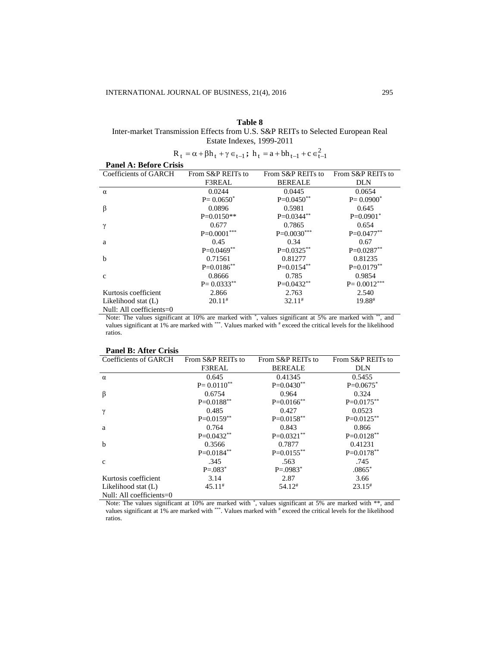## **Table 8**

Inter-market Transmission Effects from U.S. S&P REITs to Selected European Real Estate Indexes, 1999-2011

| $R_t = \alpha + \beta h_t + \gamma \in_{t-1}$ ; $h_t = a + bh_{t-1} + c \in_{t-1}^2$ |  |
|--------------------------------------------------------------------------------------|--|

| <b>Panel A: Before Crisis</b> |                   |                   |                   |
|-------------------------------|-------------------|-------------------|-------------------|
| Coefficients of GARCH         | From S&P REITs to | From S&P REITs to | From S&P REITs to |
|                               | F3REAL            | <b>BEREALE</b>    | DLN               |
| $\alpha$                      | 0.0244            | 0.0445            | 0.0654            |
|                               | $P = 0.0650^*$    | $P=0.0450**$      | $P = 0.0900^*$    |
| β                             | 0.0896            | 0.5981            | 0.645             |
|                               | $P=0.0150**$      | $P=0.0344**$      | $P=0.0901^*$      |
| γ                             | 0.677             | 0.7865            | 0.654             |
|                               | $P=0.0001***$     | $P=0.0030***$     | $P=0.0477**$      |
| a                             | 0.45              | 0.34              | 0.67              |
|                               | $P=0.0469**$      | $P=0.0325***$     | $P=0.0287**$      |
| b                             | 0.71561           | 0.81277           | 0.81235           |
|                               | $P=0.0186***$     | $P=0.0154***$     | $P=0.0179**$      |
| $\mathbf{c}$                  | 0.8666            | 0.785             | 0.9854            |
|                               | $P = 0.0333^{**}$ | $P=0.0432**$      | $P = 0.0012***$   |
| Kurtosis coefficient          | 2.866             | 2.763             | 2.540             |
| Likelihood stat (L)           | $20.11^{#}$       | $32.11*$          | 19.88#            |
| Null: All coefficients= $0$   |                   |                   |                   |

Note: The values significant at 10% are marked with  $*$ , values significant at 5% are marked with  $**$ , and values significant at 1% are marked with \*\*\*. Values marked with # exceed the critical levels for the likelihood ratios.

| <b>Panel B: After Crisis</b> |  |
|------------------------------|--|
|                              |  |

| Coefficients of GARCH    | From S&P REITs to    | From S&P REITs to         | From S&P REITs to    |
|--------------------------|----------------------|---------------------------|----------------------|
|                          | F3REAL               | <b>BEREALE</b>            | <b>DLN</b>           |
| $\alpha$                 | 0.645                | 0.41345                   | 0.5455               |
|                          | $P = 0.0110^{**}$    | $P=0.0430**$              | $P=0.0675$ *         |
| $\beta$                  | 0.6754               | 0.964                     | 0.324                |
|                          | $P=0.0188**$         | $P=0.0166$ **             | $P=0.0175***$        |
| $\gamma$                 | 0.485                | 0.427                     | 0.0523               |
|                          | $P=0.0159**$         | $P=0.0158***$             | $P=0.0125***$        |
| a                        | 0.764                | 0.843                     | 0.866                |
|                          | $P=0.0432**$         | $P=0.0321**$              | $P=0.0128**$         |
| $\mathbf b$              | 0.3566               | 0.7877                    | 0.41231              |
|                          | $P=0.0184**$         | $P=0.0155***$             | $P=0.0178***$        |
| $\mathbf{c}$             | .345                 | .563                      | .745                 |
|                          | $P = .083^*$         | $P = 0.0983$ <sup>*</sup> | $.0865*$             |
| Kurtosis coefficient     | 3.14                 | 2.87                      | 3.66                 |
| Likelihood stat (L)      | $45.11$ <sup>#</sup> | $54.12*$                  | $23.15$ <sup>#</sup> |
| Null: All coefficients=0 |                      |                           |                      |

Note: The values significant at 10% are marked with  $\gamma$ , values significant at 5% are marked with  $\gamma$ , and values significant at 1% are marked with \*\*\*. Values marked with # exceed the critical levels for the likelihood ratios.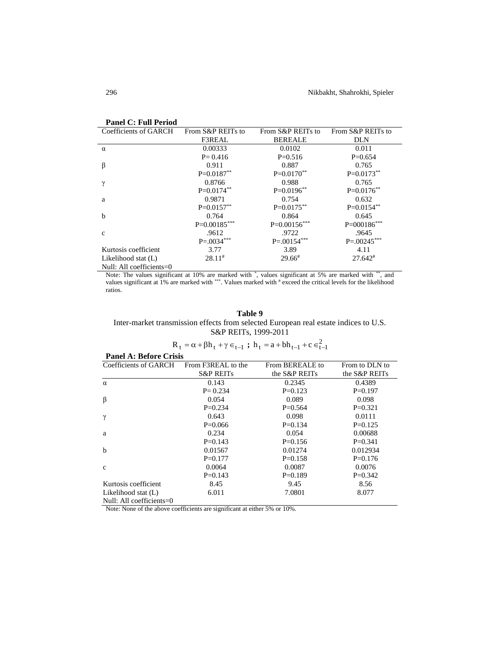| <b>Panel C: Full Period</b>  |                   |                   |                   |
|------------------------------|-------------------|-------------------|-------------------|
| <b>Coefficients of GARCH</b> | From S&P REITs to | From S&P REITs to | From S&P REITs to |
|                              | F3REAL            | <b>BEREALE</b>    | DLN               |
| $\alpha$                     | 0.00333           | 0.0102            | 0.011             |
|                              | $P = 0.416$       | $P=0.516$         | $P=0.654$         |
| $\beta$                      | 0.911             | 0.887             | 0.765             |
|                              | $P=0.0187**$      | $P=0.0170**$      | $P=0.0173***$     |
| γ                            | 0.8766            | 0.988             | 0.765             |
|                              | $P=0.0174***$     | $P=0.0196**$      | $P=0.0176**$      |
| a                            | 0.9871            | 0.754             | 0.632             |
|                              | $P=0.0157**$      | $P=0.0175***$     | $P=0.0154**$      |
| $\mathbf b$                  | 0.764             | 0.864             | 0.645             |
|                              | $P=0.00185***$    | $P=0.00156***$    | $P = 000186$ ***  |
| $\mathbf c$                  | .9612             | .9722             | .9645             |
|                              | $P = 0.0034***$   | $P = 0.00154***$  | $P = 0.00245***$  |
| Kurtosis coefficient         | 3.77              | 3.89              | 4.11              |
| Likelihood stat (L)          | $28.11*$          | $29.66*$          | $27.642*$         |
| Null: All coefficients=0     |                   |                   |                   |

Note: The values significant at 10% are marked with  $*$ , values significant at 5% are marked with  $**$ , and values significant at 1% are marked with \*\*\*. Values marked with # exceed the critical levels for the likelihood ratios.

## **Table 9**

Inter-market transmission effects from selected European real estate indices to U.S. S&P REITs, 1999-2011

$$
R_t = \alpha + \beta h_t + \gamma \in_{t-1}
$$
;  $h_t = a + bh_{t-1} + c \in_{t-1}^2$ 

 $\lambda$ 

| <b>Panel A: Before Crisis</b> |                      |                 |                |  |
|-------------------------------|----------------------|-----------------|----------------|--|
| Coefficients of GARCH         | From F3REAL to the   | From BEREALE to | From to DLN to |  |
|                               | <b>S&amp;P REITs</b> | the S&P REITs   | the S&P REITs  |  |
| $\alpha$                      | 0.143                | 0.2345          | 0.4389         |  |
|                               | $P = 0.234$          | $P=0.123$       | $P=0.197$      |  |
| β                             | 0.054                | 0.089           | 0.098          |  |
|                               | $P=0.234$            | $P=0.564$       | $P=0.321$      |  |
| $\gamma$                      | 0.643                | 0.098           | 0.0111         |  |
|                               | $P=0.066$            | $P=0.134$       | $P=0.125$      |  |
| a                             | 0.234                | 0.054           | 0.00688        |  |
|                               | $P=0.143$            | $P=0.156$       | $P=0.341$      |  |
| $\mathbf b$                   | 0.01567              | 0.01274         | 0.012934       |  |
|                               | $P=0.177$            | $P=0.158$       | $P=0.176$      |  |
| $\mathbf{c}$                  | 0.0064               | 0.0087          | 0.0076         |  |
|                               | $P=0.143$            | $P=0.189$       | $P=0.342$      |  |
| Kurtosis coefficient          | 8.45                 | 9.45            | 8.56           |  |
| Likelihood stat (L)           | 6.011                | 7.0801          | 8.077          |  |
| Null: All coefficients= $0$   |                      |                 |                |  |

Note: None of the above coefficients are significant at either 5% or 10%.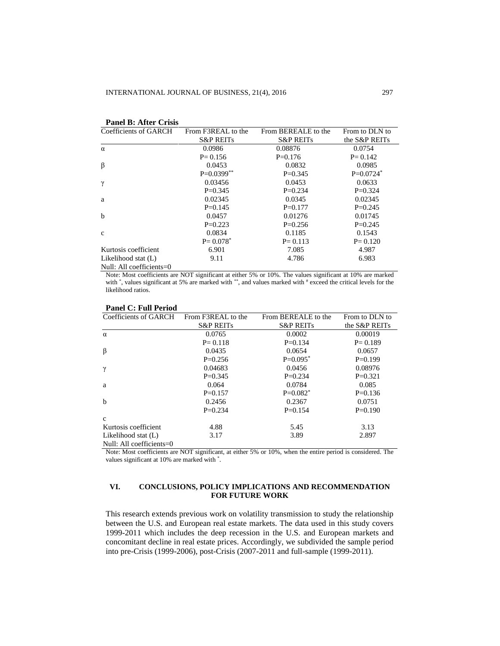| Coefficients of GARCH    | From F3REAL to the       | From BEREALE to the  | From to DLN to |
|--------------------------|--------------------------|----------------------|----------------|
|                          | <b>S&amp;P REITs</b>     | <b>S&amp;P REITs</b> | the S&P REITs  |
| $\alpha$                 | 0.0986                   | 0.08876              | 0.0754         |
|                          | $P = 0.156$              | $P=0.176$            | $P = 0.142$    |
| $\beta$                  | 0.0453                   | 0.0832               | 0.0985         |
|                          | $P=0.0399**$             | $P=0.345$            | $P=0.0724*$    |
| γ                        | 0.03456                  | 0.0453               | 0.0633         |
|                          | $P=0.345$                | $P=0.234$            | $P=0.324$      |
| a                        | 0.02345                  | 0.0345               | 0.02345        |
|                          | $P=0.145$                | $P = 0.177$          | $P=0.245$      |
| b                        | 0.0457                   | 0.01276              | 0.01745        |
|                          | $P=0.223$                | $P=0.256$            | $P=0.245$      |
| $\mathbf{C}$             | 0.0834                   | 0.1185               | 0.1543         |
|                          | $P = 0.078$ <sup>*</sup> | $P = 0.113$          | $P = 0.120$    |
| Kurtosis coefficient     | 6.901                    | 7.085                | 4.987          |
| Likelihood stat (L)      | 9.11                     | 4.786                | 6.983          |
| Null: All coefficients=0 |                          |                      |                |

## **Panel B: After Crisis**

Note: Most coefficients are NOT significant at either 5% or 10%. The values significant at 10% are marked with  $\ast$ , values significant at 5% are marked with  $\ast\ast$ , and values marked with  $\ast$  exceed the critical levels for the likelihood ratios.

| Coefficients of GARCH       | From F3REAL to the   | From BEREALE to the  | From to DLN to |
|-----------------------------|----------------------|----------------------|----------------|
|                             | <b>S&amp;P REITS</b> | <b>S&amp;P REITS</b> | the S&P REITs  |
| $\alpha$                    | 0.0765               | 0.0002               | 0.00019        |
|                             | $P = 0.118$          | $P=0.134$            | $P = 0.189$    |
| β                           | 0.0435               | 0.0654               | 0.0657         |
|                             | $P=0.256$            | $P=0.095*$           | $P=0.199$      |
| γ                           | 0.04683              | 0.0456               | 0.08976        |
|                             | $P=0.345$            | $P=0.234$            | $P=0.321$      |
| a                           | 0.064                | 0.0784               | 0.085          |
|                             | $P=0.157$            | $P=0.082^*$          | $P=0.136$      |
| $\mathbf b$                 | 0.2456               | 0.2367               | 0.0751         |
|                             | $P=0.234$            | $P=0.154$            | $P=0.190$      |
| $\mathbf{c}$                |                      |                      |                |
| Kurtosis coefficient        | 4.88                 | 5.45                 | 3.13           |
| Likelihood stat (L)         | 3.17                 | 3.89                 | 2.897          |
| Null: All coefficients= $0$ |                      |                      |                |

#### **Panel C: Full Period**

Note: Most coefficients are NOT significant, at either 5% or 10%, when the entire period is considered. The values significant at 10% are marked with \* .

## **VI. CONCLUSIONS, POLICY IMPLICATIONS AND RECOMMENDATION FOR FUTURE WORK**

This research extends previous work on volatility transmission to study the relationship between the U.S. and European real estate markets. The data used in this study covers 1999-2011 which includes the deep recession in the U.S. and European markets and concomitant decline in real estate prices. Accordingly, we subdivided the sample period into pre-Crisis (1999-2006), post-Crisis (2007-2011 and full-sample (1999-2011).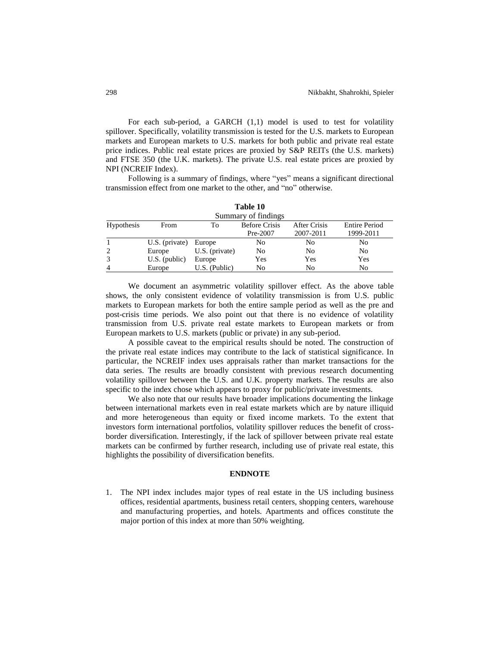For each sub-period, a GARCH (1,1) model is used to test for volatility spillover. Specifically, volatility transmission is tested for the U.S. markets to European markets and European markets to U.S. markets for both public and private real estate price indices. Public real estate prices are proxied by S&P REITs (the U.S. markets) and FTSE 350 (the U.K. markets). The private U.S. real estate prices are proxied by NPI (NCREIF Index).

Following is a summary of findings, where "yes" means a significant directional transmission effect from one market to the other, and "no" otherwise.

| .<br>Summary of findings |                       |                  |                |           |           |
|--------------------------|-----------------------|------------------|----------------|-----------|-----------|
|                          |                       |                  |                |           |           |
|                          |                       |                  | Pre-2007       | 2007-2011 | 1999-2011 |
|                          | U.S. (private) Europe |                  | No             | No        | No        |
| 2                        | Europe                | $U.S.$ (private) | N <sub>0</sub> | No        | No        |
| 3                        | $U.S.$ (public)       | Europe           | Yes            | Yes       | Yes       |
| $\overline{4}$           | Europe                | $U.S.$ (Public)  | No             | No        | No        |

**Table 10**

We document an asymmetric volatility spillover effect. As the above table shows, the only consistent evidence of volatility transmission is from U.S. public markets to European markets for both the entire sample period as well as the pre and post-crisis time periods. We also point out that there is no evidence of volatility transmission from U.S. private real estate markets to European markets or from European markets to U.S. markets (public or private) in any sub-period.

A possible caveat to the empirical results should be noted. The construction of the private real estate indices may contribute to the lack of statistical significance. In particular, the NCREIF index uses appraisals rather than market transactions for the data series. The results are broadly consistent with previous research documenting volatility spillover between the U.S. and U.K. property markets. The results are also specific to the index chose which appears to proxy for public/private investments.

We also note that our results have broader implications documenting the linkage between international markets even in real estate markets which are by nature illiquid and more heterogeneous than equity or fixed income markets. To the extent that investors form international portfolios, volatility spillover reduces the benefit of crossborder diversification. Interestingly, if the lack of spillover between private real estate markets can be confirmed by further research, including use of private real estate, this highlights the possibility of diversification benefits.

#### **ENDNOTE**

1. The NPI index includes major types of real estate in the US including business offices, residential apartments, business retail centers, shopping centers, warehouse and manufacturing properties, and hotels. Apartments and offices constitute the major portion of this index at more than 50% weighting.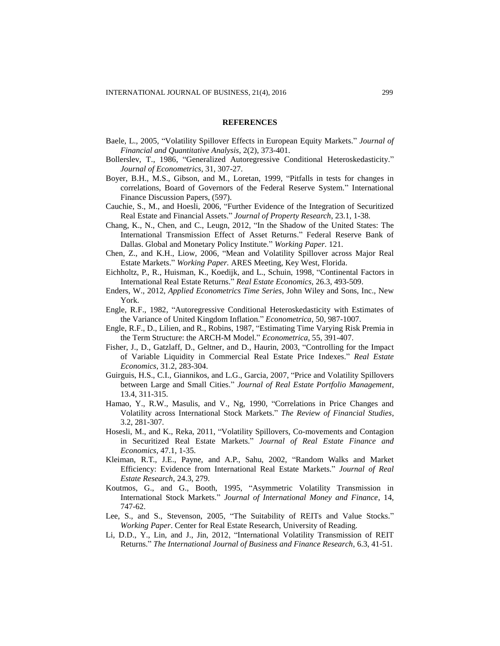#### **REFERENCES**

- Baele, L., 2005, "Volatility Spillover Effects in European Equity Markets." *Journal of Financial and Quantitative Analysis*, 2(2), 373-401.
- Bollerslev, T., 1986, "Generalized Autoregressive Conditional Heteroskedasticity." *Journal of Econometrics*, 31, 307-27.
- Boyer, B.H., M.S., Gibson, and M., Loretan, 1999, "Pitfalls in tests for changes in correlations, Board of Governors of the Federal Reserve System." International Finance Discussion Papers, (597).
- Cauchie, S., M., and Hoesli, 2006, "Further Evidence of the Integration of Securitized Real Estate and Financial Assets." *Journal of Property Research*, 23.1, 1-38.
- Chang, K., N., Chen, and C., Leugn, 2012, "In the Shadow of the United States: The International Transmission Effect of Asset Returns." Federal Reserve Bank of Dallas. Global and Monetary Policy Institute." *Working Paper.* 121.
- Chen, Z., and K.H., Liow, 2006, "Mean and Volatility Spillover across Major Real Estate Markets." *Working Paper.* ARES Meeting, Key West, Florida.
- Eichholtz, P., R., Huisman, K., Koedijk, and L., Schuin, 1998, "Continental Factors in International Real Estate Returns." *Real Estate Economics,* 26.3, 493-509.
- Enders, W., 2012, *Applied Econometrics Time Series*, John Wiley and Sons, Inc., New York.
- Engle, R.F., 1982, "Autoregressive Conditional Heteroskedasticity with Estimates of the Variance of United Kingdom Inflation." *Econometrica*, 50, 987-1007.
- Engle, R.F., D., Lilien, and R., Robins, 1987, "Estimating Time Varying Risk Premia in the Term Structure: the ARCH-M Model." *Econometrica*, 55, 391-407.
- Fisher, J., D., Gatzlaff, D., Geltner, and D., Haurin, 2003, "Controlling for the Impact of Variable Liquidity in Commercial Real Estate Price Indexes." *Real Estate Economics*, 31.2, 283-304.
- Guirguis, H.S., C.I., Giannikos, and L.G., Garcia, 2007, "Price and Volatility Spillovers between Large and Small Cities." *Journal of Real Estate Portfolio Management*, 13.4, 311-315.
- Hamao, Y., R.W., Masulis, and V., Ng, 1990, "Correlations in Price Changes and Volatility across International Stock Markets." *The Review of Financial Studies*, 3.2, 281-307.
- Hosesli, M., and K., Reka, 2011, "Volatility Spillovers, Co-movements and Contagion in Securitized Real Estate Markets." *Journal of Real Estate Finance and Economics*, 47.1, 1-35.
- Kleiman, R.T., J.E., Payne, and A.P., Sahu, 2002, "Random Walks and Market Efficiency: Evidence from International Real Estate Markets." *Journal of Real Estate Research*, 24.3, 279.
- Koutmos, G., and G., Booth, 1995, "Asymmetric Volatility Transmission in International Stock Markets." *Journal of International Money and Finance*, 14, 747-62.
- Lee, S., and S., Stevenson, 2005, "The Suitability of REITs and Value Stocks." *Working Paper*. Center for Real Estate Research, University of Reading.
- Li, D.D., Y., Lin, and J., Jin, 2012, "International Volatility Transmission of REIT Returns." *The International Journal of Business and Finance Research*, 6.3, 41-51.